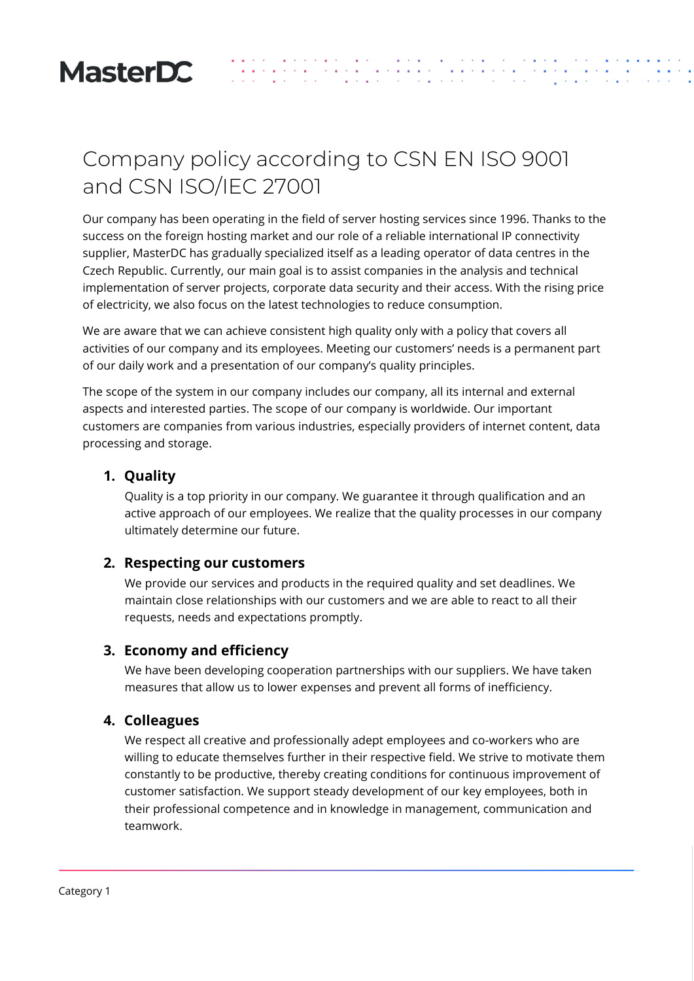

# Company policy according to CSN EN ISO 9001 and CSN ISO/IEC 27001

Our company has been operating in the field of server hosting services since 1996. Thanks to the success on the foreign hosting market and our role of a reliable international IP connectivity supplier, MasterDC has gradually specialized itself as a leading operator of data centres in the Czech Republic. Currently, our main goal is to assist companies in the analysis and technical implementation of server projects, corporate data security and their access. With the rising price of electricity, we also focus on the latest technologies to reduce consumption.

 $\frac{1}{2}$  ,  $\frac{1}{2}$ 

a na kalendari<br>Alban Sarahan<br>Alban Sarahan

We are aware that we can achieve consistent high quality only with a policy that covers all activities of our company and its employees. Meeting our customers' needs is a permanent part of our daily work and a presentation of our company's quality principles.

The scope of the system in our company includes our company, all its internal and external aspects and interested parties. The scope of our company is worldwide. Our important customers are companies from various industries, especially providers of internet content, data processing and storage.

### **1. Quality**

Quality is a top priority in our company. We guarantee it through qualification and an active approach of our employees. We realize that the quality processes in our company ultimately determine our future.

#### **2. Respecting our customers**

We provide our services and products in the required quality and set deadlines. We maintain close relationships with our customers and we are able to react to all their requests, needs and expectations promptly.

#### **3. Economy and efficiency**

We have been developing cooperation partnerships with our suppliers. We have taken measures that allow us to lower expenses and prevent all forms of inefficiency.

#### **4. Colleagues**

We respect all creative and professionally adept employees and co-workers who are willing to educate themselves further in their respective field. We strive to motivate them constantly to be productive, thereby creating conditions for continuous improvement of customer satisfaction. We support steady development of our key employees, both in their professional competence and in knowledge in management, communication and teamwork.